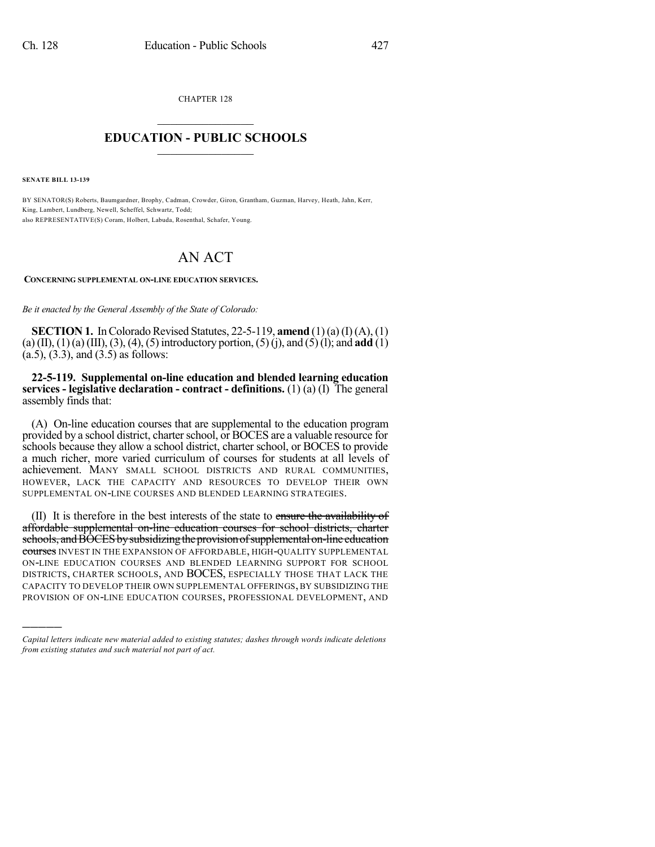CHAPTER 128

## $\mathcal{L}_\text{max}$  . The set of the set of the set of the set of the set of the set of the set of the set of the set of the set of the set of the set of the set of the set of the set of the set of the set of the set of the set **EDUCATION - PUBLIC SCHOOLS**  $\_$   $\_$   $\_$   $\_$   $\_$   $\_$   $\_$   $\_$   $\_$

**SENATE BILL 13-139**

)))))

BY SENATOR(S) Roberts, Baumgardner, Brophy, Cadman, Crowder, Giron, Grantham, Guzman, Harvey, Heath, Jahn, Kerr, King, Lambert, Lundberg, Newell, Scheffel, Schwartz, Todd; also REPRESENTATIVE(S) Coram, Holbert, Labuda, Rosenthal, Schafer, Young.

## AN ACT

## **CONCERNING SUPPLEMENTAL ON-LINE EDUCATION SERVICES.**

*Be it enacted by the General Assembly of the State of Colorado:*

**SECTION 1.** In Colorado Revised Statutes, 22-5-119, **amend** (1)(a) (I)(A), (1) (a) (II), (1)(a) (III), (3), (4), (5) introductory portion, (5)(j), and (5)(l); and **add** (1)  $(a.5)$ ,  $(3.3)$ , and  $(3.5)$  as follows:

**22-5-119. Supplemental on-line education and blended learning education services - legislative declaration - contract - definitions.** (1) (a) (I) The general assembly finds that:

(A) On-line education courses that are supplemental to the education program provided by a school district, charter school, or BOCES are a valuable resource for schools because they allow a school district, charter school, or BOCES to provide a much richer, more varied curriculum of courses for students at all levels of achievement. MANY SMALL SCHOOL DISTRICTS AND RURAL COMMUNITIES, HOWEVER, LACK THE CAPACITY AND RESOURCES TO DEVELOP THEIR OWN SUPPLEMENTAL ON-LINE COURSES AND BLENDED LEARNING STRATEGIES.

(II) It is therefore in the best interests of the state to ensure the availability of affordable supplemental on-line education courses for school districts, charter schools, and BOCES by subsidizing the provision of supplemental on-line education courses INVEST IN THE EXPANSION OF AFFORDABLE, HIGH-OUALITY SUPPLEMENTAL ON-LINE EDUCATION COURSES AND BLENDED LEARNING SUPPORT FOR SCHOOL DISTRICTS, CHARTER SCHOOLS, AND BOCES, ESPECIALLY THOSE THAT LACK THE CAPACITY TO DEVELOP THEIR OWN SUPPLEMENTAL OFFERINGS, BY SUBSIDIZING THE PROVISION OF ON-LINE EDUCATION COURSES, PROFESSIONAL DEVELOPMENT, AND

*Capital letters indicate new material added to existing statutes; dashes through words indicate deletions from existing statutes and such material not part of act.*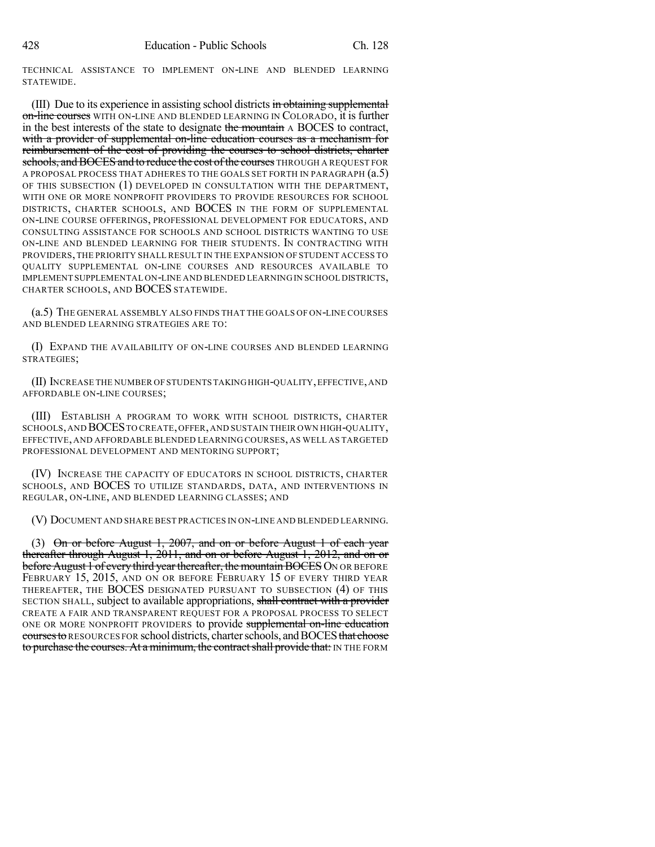TECHNICAL ASSISTANCE TO IMPLEMENT ON-LINE AND BLENDED LEARNING STATEWIDE.

(III) Due to its experience in assisting school districts in obtaining supplemental on-line courses WITH ON-LINE AND BLENDED LEARNING IN COLORADO, it is further in the best interests of the state to designate the mountain A BOCES to contract, with a provider of supplemental on-line education courses as a mechanism for reimbursement of the cost of providing the courses to school districts, charter schools, and BOCES and to reduce the cost of the courses THROUGH A REQUEST FOR A PROPOSAL PROCESS THAT ADHERES TO THE GOALS SET FORTH IN PARAGRAPH (a.5) OF THIS SUBSECTION (1) DEVELOPED IN CONSULTATION WITH THE DEPARTMENT, WITH ONE OR MORE NONPROFIT PROVIDERS TO PROVIDE RESOURCES FOR SCHOOL DISTRICTS, CHARTER SCHOOLS, AND BOCES IN THE FORM OF SUPPLEMENTAL ON-LINE COURSE OFFERINGS, PROFESSIONAL DEVELOPMENT FOR EDUCATORS, AND CONSULTING ASSISTANCE FOR SCHOOLS AND SCHOOL DISTRICTS WANTING TO USE ON-LINE AND BLENDED LEARNING FOR THEIR STUDENTS. IN CONTRACTING WITH PROVIDERS,THE PRIORITY SHALL RESULT IN THE EXPANSION OF STUDENT ACCESS TO QUALITY SUPPLEMENTAL ON-LINE COURSES AND RESOURCES AVAILABLE TO IMPLEMENT SUPPLEMENTAL ON-LINE AND BLENDED LEARNING IN SCHOOL DISTRICTS, CHARTER SCHOOLS, AND BOCES STATEWIDE.

(a.5) THE GENERAL ASSEMBLY ALSO FINDS THAT THE GOALS OF ON-LINE COURSES AND BLENDED LEARNING STRATEGIES ARE TO:

(I) EXPAND THE AVAILABILITY OF ON-LINE COURSES AND BLENDED LEARNING STRATEGIES;

(II) INCREASE THE NUMBER OF STUDENTS TAKING HIGH-QUALITY,EFFECTIVE,AND AFFORDABLE ON-LINE COURSES;

(III) ESTABLISH A PROGRAM TO WORK WITH SCHOOL DISTRICTS, CHARTER SCHOOLS,AND BOCESTO CREATE,OFFER,AND SUSTAIN THEIR OWN HIGH-QUALITY, EFFECTIVE, AND AFFORDABLE BLENDED LEARNING COURSES, AS WELL AS TARGETED PROFESSIONAL DEVELOPMENT AND MENTORING SUPPORT;

(IV) INCREASE THE CAPACITY OF EDUCATORS IN SCHOOL DISTRICTS, CHARTER SCHOOLS, AND BOCES TO UTILIZE STANDARDS, DATA, AND INTERVENTIONS IN REGULAR, ON-LINE, AND BLENDED LEARNING CLASSES; AND

(V) DOCUMENT AND SHARE BEST PRACTICES IN ON-LINE AND BLENDED LEARNING.

(3)  $\Theta$ n or before August 1, 2007, and on or before August 1 of each year thereafter through August 1, 2011, and on or before August 1, 2012, and on or before August 1 of every third year thereafter, the mountain BOCES ON OR BEFORE FEBRUARY 15, 2015, AND ON OR BEFORE FEBRUARY 15 OF EVERY THIRD YEAR THEREAFTER, THE BOCES DESIGNATED PURSUANT TO SUBSECTION (4) OF THIS SECTION SHALL, subject to available appropriations, shall contract with a provider CREATE A FAIR AND TRANSPARENT REQUEST FOR A PROPOSAL PROCESS TO SELECT ONE OR MORE NONPROFIT PROVIDERS to provide supplemental on-line education courses to RESOURCES FOR school districts, charter schools, and BOCES that choose to purchase the courses. At a minimum, the contract shall provide that: IN THE FORM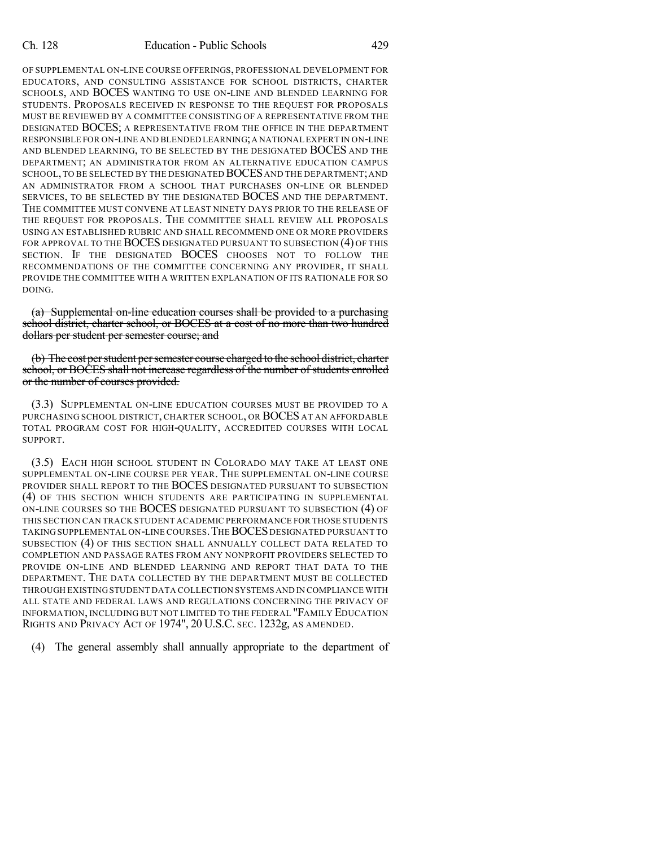OF SUPPLEMENTAL ON-LINE COURSE OFFERINGS, PROFESSIONAL DEVELOPMENT FOR EDUCATORS, AND CONSULTING ASSISTANCE FOR SCHOOL DISTRICTS, CHARTER SCHOOLS, AND BOCES WANTING TO USE ON-LINE AND BLENDED LEARNING FOR STUDENTS. PROPOSALS RECEIVED IN RESPONSE TO THE REQUEST FOR PROPOSALS MUST BE REVIEWED BY A COMMITTEE CONSISTING OF A REPRESENTATIVE FROM THE DESIGNATED BOCES; A REPRESENTATIVE FROM THE OFFICE IN THE DEPARTMENT RESPONSIBLE FOR ON-LINE AND BLENDED LEARNING;A NATIONAL EXPERT IN ON-LINE AND BLENDED LEARNING, TO BE SELECTED BY THE DESIGNATED BOCES AND THE DEPARTMENT; AN ADMINISTRATOR FROM AN ALTERNATIVE EDUCATION CAMPUS SCHOOL, TO BE SELECTED BY THE DESIGNATED BOCES AND THE DEPARTMENT; AND AN ADMINISTRATOR FROM A SCHOOL THAT PURCHASES ON-LINE OR BLENDED SERVICES, TO BE SELECTED BY THE DESIGNATED BOCES AND THE DEPARTMENT. THE COMMITTEE MUST CONVENE AT LEAST NINETY DAYS PRIOR TO THE RELEASE OF THE REQUEST FOR PROPOSALS. THE COMMITTEE SHALL REVIEW ALL PROPOSALS USING AN ESTABLISHED RUBRIC AND SHALL RECOMMEND ONE OR MORE PROVIDERS FOR APPROVAL TO THE BOCES DESIGNATED PURSUANT TO SUBSECTION (4) OF THIS SECTION. IF THE DESIGNATED BOCES CHOOSES NOT TO FOLLOW THE RECOMMENDATIONS OF THE COMMITTEE CONCERNING ANY PROVIDER, IT SHALL PROVIDE THE COMMITTEE WITH A WRITTEN EXPLANATION OF ITS RATIONALE FOR SO DOING.

(a) Supplemental on-line education courses shall be provided to a purchasing school district, charter school, or BOCES at a cost of no more than two hundred dollars per student per semester course; and

(b) The cost perstudent persemester course charged to the school district, charter school, or BOCES shall not increase regardless of the number of students enrolled or the number of courses provided.

(3.3) SUPPLEMENTAL ON-LINE EDUCATION COURSES MUST BE PROVIDED TO A PURCHASING SCHOOL DISTRICT, CHARTER SCHOOL, OR BOCES AT AN AFFORDABLE TOTAL PROGRAM COST FOR HIGH-QUALITY, ACCREDITED COURSES WITH LOCAL SUPPORT.

(3.5) EACH HIGH SCHOOL STUDENT IN COLORADO MAY TAKE AT LEAST ONE SUPPLEMENTAL ON-LINE COURSE PER YEAR. THE SUPPLEMENTAL ON-LINE COURSE PROVIDER SHALL REPORT TO THE BOCES DESIGNATED PURSUANT TO SUBSECTION (4) OF THIS SECTION WHICH STUDENTS ARE PARTICIPATING IN SUPPLEMENTAL ON-LINE COURSES SO THE BOCES DESIGNATED PURSUANT TO SUBSECTION (4) OF THIS SECTION CAN TRACK STUDENT ACADEMIC PERFORMANCE FOR THOSE STUDENTS TAKING SUPPLEMENTAL ON-LINE COURSES. THE BOCES DESIGNATED PURSUANT TO SUBSECTION (4) OF THIS SECTION SHALL ANNUALLY COLLECT DATA RELATED TO COMPLETION AND PASSAGE RATES FROM ANY NONPROFIT PROVIDERS SELECTED TO PROVIDE ON-LINE AND BLENDED LEARNING AND REPORT THAT DATA TO THE DEPARTMENT. THE DATA COLLECTED BY THE DEPARTMENT MUST BE COLLECTED THROUGH EXISTING STUDENT DATA COLLECTION SYSTEMS AND IN COMPLIANCE WITH ALL STATE AND FEDERAL LAWS AND REGULATIONS CONCERNING THE PRIVACY OF INFORMATION, INCLUDING BUT NOT LIMITED TO THE FEDERAL "FAMILY EDUCATION RIGHTS AND PRIVACY ACT OF 1974", 20 U.S.C. SEC. 1232g, AS AMENDED.

(4) The general assembly shall annually appropriate to the department of